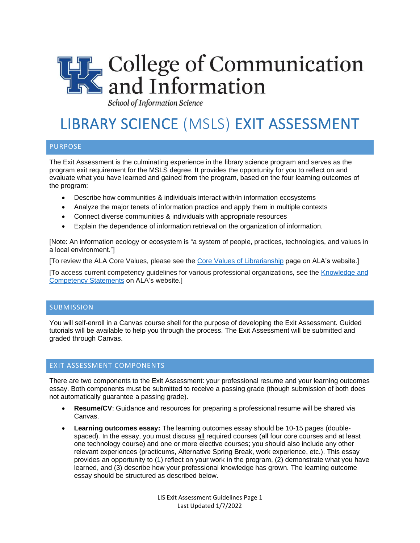

School of Information Science

# LIBRARY SCIENCE (MSLS) EXIT ASSESSMENT

## PURPOSE

The Exit Assessment is the culminating experience in the library science program and serves as the program exit requirement for the MSLS degree. It provides the opportunity for you to reflect on and evaluate what you have learned and gained from the program, based on the four learning outcomes of the program:

- Describe how communities & individuals interact with/in information ecosystems
- Analyze the major tenets of information practice and apply them in multiple contexts
- Connect diverse communities & individuals with appropriate resources
- Explain the dependence of information retrieval on the organization of information.

[Note: An information ecology or ecosystem is "a system of people, practices, technologies, and values in a local environment."]

[To review the ALA Core Values, please see the [Core Values of Librarianship](https://www.ala.org/advocacy/intfreedom/corevalues) page on ALA's website.]

[To access current competency guidelines for various professional organizations, see the [Knowledge and](https://www.ala.org/educationcareers/careers/corecomp/corecompspecial/knowledgecompetencies)  [Competency Statements](https://www.ala.org/educationcareers/careers/corecomp/corecompspecial/knowledgecompetencies) on ALA's website.]

## **SUBMISSION**

You will self-enroll in a Canvas course shell for the purpose of developing the Exit Assessment. Guided tutorials will be available to help you through the process. The Exit Assessment will be submitted and graded through Canvas.

## EXIT ASSESSMENT COMPONENTS

There are two components to the Exit Assessment: your professional resume and your learning outcomes essay. Both components must be submitted to receive a passing grade (though submission of both does not automatically guarantee a passing grade).

- **Resume/CV**: Guidance and resources for preparing a professional resume will be shared via Canvas.
- **Learning outcomes essay:** The learning outcomes essay should be 10-15 pages (doublespaced). In the essay, you must discuss all required courses (all four core courses and at least one technology course) and one or more elective courses; you should also include any other relevant experiences (practicums, Alternative Spring Break, work experience, etc.). This essay provides an opportunity to (1) reflect on your work in the program, (2) demonstrate what you have learned, and (3) describe how your professional knowledge has grown. The learning outcome essay should be structured as described below.

LIS Exit Assessment Guidelines Page 1 Last Updated 1/7/2022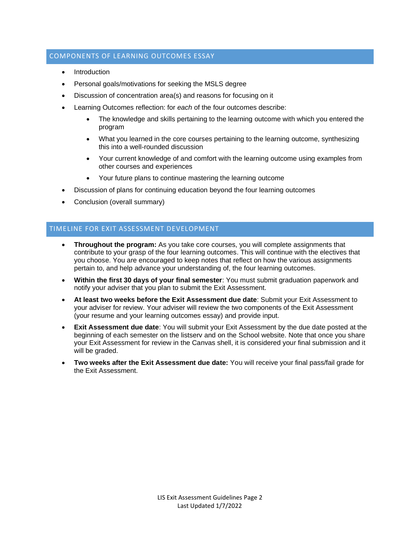## COMPONENTS OF LEARNING OUTCOMES ESSAY

- **Introduction**
- Personal goals/motivations for seeking the MSLS degree
- Discussion of concentration area(s) and reasons for focusing on it
- Learning Outcomes reflection: for *each* of the four outcomes describe:
	- The knowledge and skills pertaining to the learning outcome with which you entered the program
	- What you learned in the core courses pertaining to the learning outcome, synthesizing this into a well-rounded discussion
	- Your current knowledge of and comfort with the learning outcome using examples from other courses and experiences
	- Your future plans to continue mastering the learning outcome
- Discussion of plans for continuing education beyond the four learning outcomes
- Conclusion (overall summary)

## TIMELINE FOR EXIT ASSESSMENT DEVELOPMENT

- **Throughout the program:** As you take core courses, you will complete assignments that contribute to your grasp of the four learning outcomes. This will continue with the electives that you choose. You are encouraged to keep notes that reflect on how the various assignments pertain to, and help advance your understanding of, the four learning outcomes.
- **Within the first 30 days of your final semester**: You must submit graduation paperwork and notify your adviser that you plan to submit the Exit Assessment.
- **At least two weeks before the Exit Assessment due date**: Submit your Exit Assessment to your adviser for review. Your adviser will review the two components of the Exit Assessment (your resume and your learning outcomes essay) and provide input.
- **Exit Assessment due date:** You will submit your Exit Assessment by the due date posted at the beginning of each semester on the listserv and on the School website. Note that once you share your Exit Assessment for review in the Canvas shell, it is considered your final submission and it will be graded.
- **Two weeks after the Exit Assessment due date:** You will receive your final pass/fail grade for the Exit Assessment.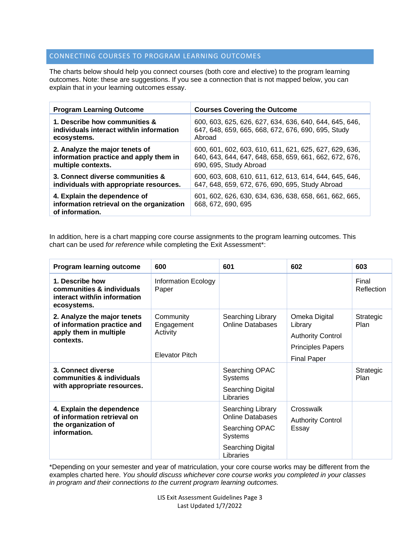## CONNECTING COURSES TO PROGRAM LEARNING OUTCOMES

The charts below should help you connect courses (both core and elective) to the program learning outcomes. Note: these are suggestions. If you see a connection that is not mapped below, you can explain that in your learning outcomes essay.

| <b>Program Learning Outcome</b>                                                              | <b>Courses Covering the Outcome</b>                                          |  |  |
|----------------------------------------------------------------------------------------------|------------------------------------------------------------------------------|--|--|
| 1. Describe how communities &                                                                | 600, 603, 625, 626, 627, 634, 636, 640, 644, 645, 646,                       |  |  |
| individuals interact with/in information                                                     | 647, 648, 659, 665, 668, 672, 676, 690, 695, Study                           |  |  |
| ecosystems.                                                                                  | Abroad                                                                       |  |  |
| 2. Analyze the major tenets of                                                               | 600, 601, 602, 603, 610, 611, 621, 625, 627, 629, 636,                       |  |  |
| information practice and apply them in                                                       | 640, 643, 644, 647, 648, 658, 659, 661, 662, 672, 676,                       |  |  |
| multiple contexts.                                                                           | 690, 695, Study Abroad                                                       |  |  |
| 3. Connect diverse communities &                                                             | 600, 603, 608, 610, 611, 612, 613, 614, 644, 645, 646,                       |  |  |
| individuals with appropriate resources.                                                      | 647, 648, 659, 672, 676, 690, 695, Study Abroad                              |  |  |
| 4. Explain the dependence of<br>information retrieval on the organization<br>of information. | 601, 602, 626, 630, 634, 636, 638, 658, 661, 662, 665,<br>668, 672, 690, 695 |  |  |

In addition, here is a chart mapping core course assignments to the program learning outcomes. This chart can be used *for reference* while completing the Exit Assessment\*:

| <b>Program learning outcome</b>                                                                   | 600                                                          | 601                                                                                                                | 602                                                                                                    | 603                 |
|---------------------------------------------------------------------------------------------------|--------------------------------------------------------------|--------------------------------------------------------------------------------------------------------------------|--------------------------------------------------------------------------------------------------------|---------------------|
| 1. Describe how<br>communities & individuals<br>interact with/in information<br>ecosystems.       | <b>Information Ecology</b><br>Paper                          |                                                                                                                    |                                                                                                        | Final<br>Reflection |
| 2. Analyze the major tenets<br>of information practice and<br>apply them in multiple<br>contexts. | Community<br>Engagement<br>Activity<br><b>Elevator Pitch</b> | Searching Library<br><b>Online Databases</b>                                                                       | Omeka Digital<br>Library<br><b>Authority Control</b><br><b>Principles Papers</b><br><b>Final Paper</b> | Strategic<br>Plan   |
| 3. Connect diverse<br>communities & individuals<br>with appropriate resources.                    |                                                              | Searching OPAC<br><b>Systems</b><br>Searching Digital<br>Libraries                                                 |                                                                                                        | Strategic<br>Plan   |
| 4. Explain the dependence<br>of information retrieval on<br>the organization of<br>information.   |                                                              | Searching Library<br><b>Online Databases</b><br>Searching OPAC<br><b>Systems</b><br>Searching Digital<br>Libraries | Crosswalk<br><b>Authority Control</b><br>Essay                                                         |                     |

\*Depending on your semester and year of matriculation, your core course works may be different from the examples charted here. *You should discuss whichever core course works you completed in your classes in program and their connections to the current program learning outcomes.*

> LIS Exit Assessment Guidelines Page 3 Last Updated 1/7/2022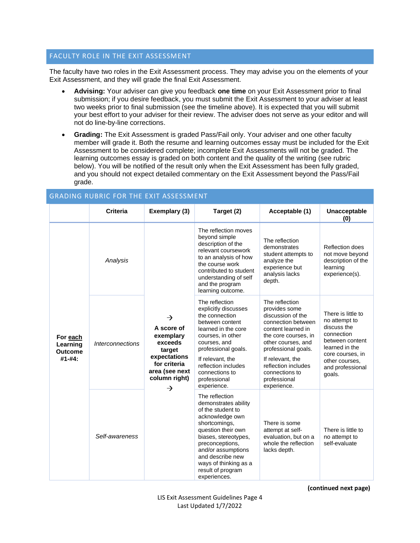## FACULTY ROLE IN THE EXIT ASSESSMENT

The faculty have two roles in the Exit Assessment process. They may advise you on the elements of your Exit Assessment, and they will grade the final Exit Assessment.

- **Advising:** Your adviser can give you feedback **one time** on your Exit Assessment prior to final submission; if you desire feedback, you must submit the Exit Assessment to your adviser at least two weeks prior to final submission (see the timeline above). It is expected that you will submit your best effort to your adviser for their review. The adviser does not serve as your editor and will not do line-by-line corrections.
- **Grading:** The Exit Assessment is graded Pass/Fail only. Your adviser and one other faculty member will grade it. Both the resume and learning outcomes essay must be included for the Exit Assessment to be considered complete; incomplete Exit Assessments will not be graded. The learning outcomes essay is graded on both content and the quality of the writing (see rubric below). You will be notified of the result only when the Exit Assessment has been fully graded, and you should not expect detailed commentary on the Exit Assessment beyond the Pass/Fail grade.

| <b>GRADING RUBRIC FOR THE EXIT ASSESSMENT</b>    |                                |                                                                                                                                       |                                                                                                                                                                                                                                                                          |                                                                                                                                                                                                                                                                   |                                                                                                                                                                           |
|--------------------------------------------------|--------------------------------|---------------------------------------------------------------------------------------------------------------------------------------|--------------------------------------------------------------------------------------------------------------------------------------------------------------------------------------------------------------------------------------------------------------------------|-------------------------------------------------------------------------------------------------------------------------------------------------------------------------------------------------------------------------------------------------------------------|---------------------------------------------------------------------------------------------------------------------------------------------------------------------------|
|                                                  | <b>Criteria</b>                | Exemplary (3)                                                                                                                         | Target (2)                                                                                                                                                                                                                                                               | Acceptable (1)                                                                                                                                                                                                                                                    | <b>Unacceptable</b><br>(0)                                                                                                                                                |
| For each<br>Learning<br><b>Outcome</b><br>#1-#4: | Analysis                       | →<br>A score of<br>exemplary<br>exceeds<br>target<br>expectations<br>for criteria<br>area (see next<br>column right)<br>$\rightarrow$ | The reflection moves<br>beyond simple<br>description of the<br>relevant coursework<br>to an analysis of how<br>the course work<br>contributed to student<br>understanding of self<br>and the program<br>learning outcome.                                                | The reflection<br>demonstrates<br>student attempts to<br>analyze the<br>experience but<br>analysis lacks<br>depth.                                                                                                                                                | Reflection does<br>not move beyond<br>description of the<br>learning<br>experience(s).                                                                                    |
|                                                  | <i><b>Interconnections</b></i> |                                                                                                                                       | The reflection<br>explicitly discusses<br>the connection<br>between content<br>learned in the core<br>courses, in other<br>courses, and<br>professional goals.<br>If relevant, the<br>reflection includes<br>connections to<br>professional<br>experience.               | The reflection<br>provides some<br>discussion of the<br>connection between<br>content learned in<br>the core courses, in<br>other courses, and<br>professional goals.<br>If relevant, the<br>reflection includes<br>connections to<br>professional<br>experience. | There is little to<br>no attempt to<br>discuss the<br>connection<br>between content<br>learned in the<br>core courses, in<br>other courses.<br>and professional<br>goals. |
|                                                  | Self-awareness                 |                                                                                                                                       | The reflection<br>demonstrates ability<br>of the student to<br>acknowledge own<br>shortcomings,<br>question their own<br>biases, stereotypes,<br>preconceptions,<br>and/or assumptions<br>and describe new<br>ways of thinking as a<br>result of program<br>experiences. | There is some<br>attempt at self-<br>evaluation, but on a<br>whole the reflection<br>lacks depth.                                                                                                                                                                 | There is little to<br>no attempt to<br>self-evaluate                                                                                                                      |

**(continued next page)**

LIS Exit Assessment Guidelines Page 4 Last Updated 1/7/2022